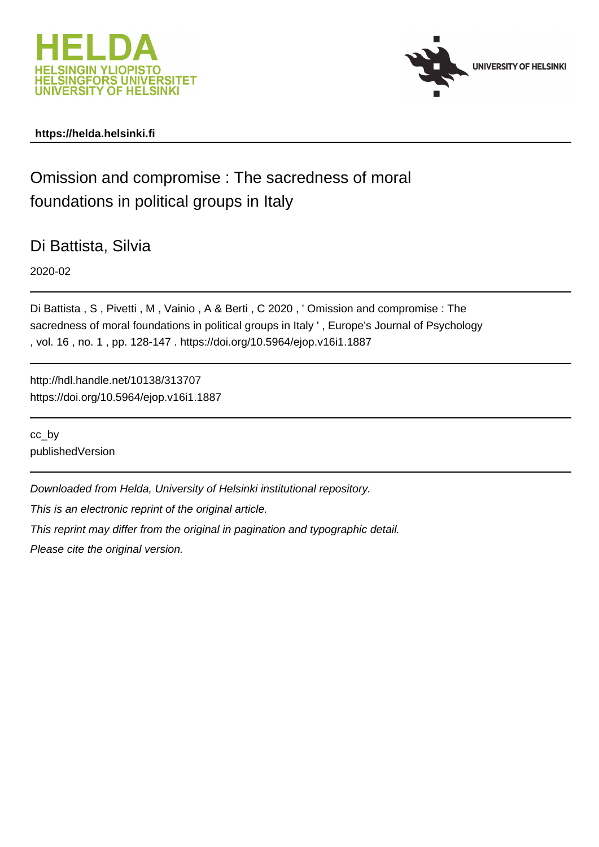



# **https://helda.helsinki.fi**

# Omission and compromise : The sacredness of moral foundations in political groups in Italy

Di Battista, Silvia

2020-02

Di Battista , S , Pivetti , M , Vainio , A & Berti , C 2020 , ' Omission and compromise : The sacredness of moral foundations in political groups in Italy ' , Europe's Journal of Psychology , vol. 16 , no. 1 , pp. 128-147 . https://doi.org/10.5964/ejop.v16i1.1887

http://hdl.handle.net/10138/313707 https://doi.org/10.5964/ejop.v16i1.1887

cc\_by publishedVersion

Downloaded from Helda, University of Helsinki institutional repository.

This is an electronic reprint of the original article.

This reprint may differ from the original in pagination and typographic detail.

Please cite the original version.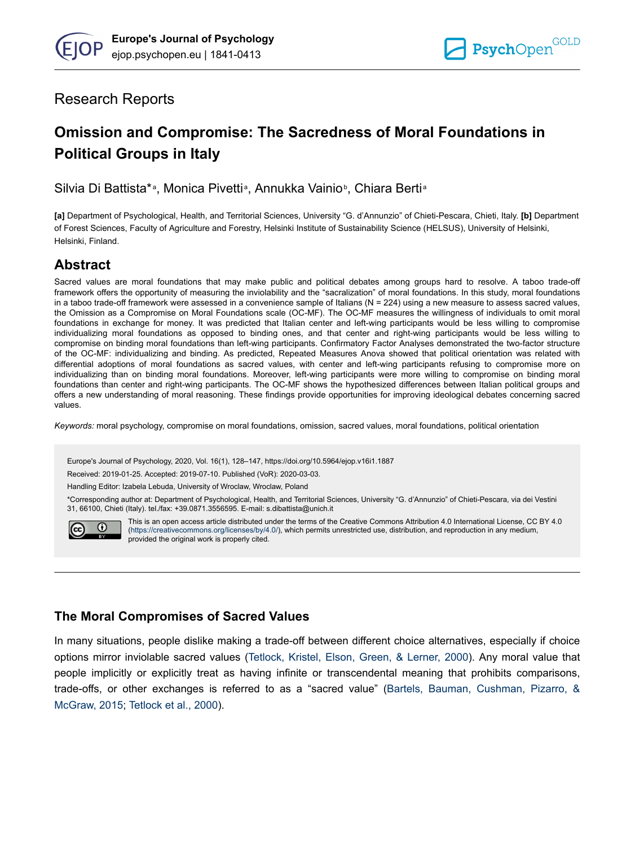# Research Reports

# **Omission and Compromise: The Sacredness of Moral Foundations in Political Groups in Italy**

Silvia Di Battista\*<sup>a</sup>, Monica Pivetti<sup>a</sup>, Annukka Vainio<sup>b</sup>, Chiara Bertia

**[a]** Department of Psychological, Health, and Territorial Sciences, University "G. d'Annunzio" of Chieti-Pescara, Chieti, Italy. **[b]** Department of Forest Sciences, Faculty of Agriculture and Forestry, Helsinki Institute of Sustainability Science (HELSUS), University of Helsinki, Helsinki, Finland.

# **Abstract**

Sacred values are moral foundations that may make public and political debates among groups hard to resolve. A taboo trade-off framework offers the opportunity of measuring the inviolability and the "sacralization" of moral foundations. In this study, moral foundations in a taboo trade-off framework were assessed in a convenience sample of Italians (N = 224) using a new measure to assess sacred values, the Omission as a Compromise on Moral Foundations scale (OC-MF). The OC-MF measures the willingness of individuals to omit moral foundations in exchange for money. It was predicted that Italian center and left-wing participants would be less willing to compromise individualizing moral foundations as opposed to binding ones, and that center and right-wing participants would be less willing to compromise on binding moral foundations than left-wing participants. Confirmatory Factor Analyses demonstrated the two-factor structure of the OC-MF: individualizing and binding. As predicted, Repeated Measures Anova showed that political orientation was related with differential adoptions of moral foundations as sacred values, with center and left-wing participants refusing to compromise more on individualizing than on binding moral foundations. Moreover, left-wing participants were more willing to compromise on binding moral foundations than center and right-wing participants. The OC-MF shows the hypothesized differences between Italian political groups and offers a new understanding of moral reasoning. These findings provide opportunities for improving ideological debates concerning sacred values.

*Keywords:* moral psychology, compromise on moral foundations, omission, sacred values, moral foundations, political orientation

Europe's Journal of Psychology, 2020, Vol. 16(1), 128–147, https://doi.org/10.5964/ejop.v16i1.1887

Received: 2019-01-25. Accepted: 2019-07-10. Published (VoR): 2020-03-03.

Handling Editor: Izabela Lebuda, University of Wroclaw, Wroclaw, Poland

\*Corresponding author at: Department of Psychological, Health, and Territorial Sciences, University "G. d'Annunzio" of Chieti-Pescara, via dei Vestini 31, 66100, Chieti (Italy). tel./fax: +39.0871.3556595. E-mail: s.dibattista@unich.it



This is an open access article distributed under the terms of the Creative Commons Attribution 4.0 International License, CC BY 4.0 ([https://creativecommons.org/licenses/by/4.0/\)](https://creativecommons.org/licenses/by/4.0/), which permits unrestricted use, distribution, and reproduction in any medium, provided the original work is properly cited.

# **The Moral Compromises of Sacred Values**

In many situations, people dislike making a trade-off between different choice alternatives, especially if choice options mirror inviolable sacred values (Tetlock, Kristel, Elson, Green, & Lerner, 2000). Any moral value that people implicitly or explicitly treat as having infinite or transcendental meaning that prohibits comparisons, trade-offs, or other exchanges is referred to as a "sacred value" (Bartels, Bauman, Cushman, Pizarro, & McGraw, 2015; Tetlock et al., 2000).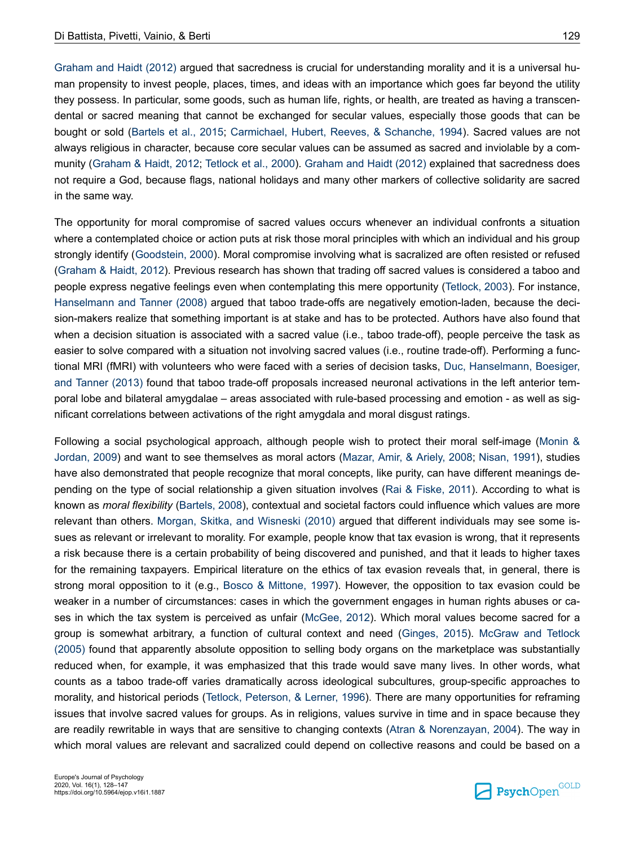Graham and Haidt (2012) argued that sacredness is crucial for understanding morality and it is a universal human propensity to invest people, places, times, and ideas with an importance which goes far beyond the utility they possess. In particular, some goods, such as human life, rights, or health, are treated as having a transcendental or sacred meaning that cannot be exchanged for secular values, especially those goods that can be bought or sold (Bartels et al., 2015; Carmichael, Hubert, Reeves, & Schanche, 1994). Sacred values are not always religious in character, because core secular values can be assumed as sacred and inviolable by a community (Graham & Haidt, 2012; Tetlock et al., 2000). Graham and Haidt (2012) explained that sacredness does not require a God, because flags, national holidays and many other markers of collective solidarity are sacred in the same way.

The opportunity for moral compromise of sacred values occurs whenever an individual confronts a situation where a contemplated choice or action puts at risk those moral principles with which an individual and his group strongly identify (Goodstein, 2000). Moral compromise involving what is sacralized are often resisted or refused (Graham & Haidt, 2012). Previous research has shown that trading off sacred values is considered a taboo and people express negative feelings even when contemplating this mere opportunity (Tetlock, 2003). For instance, Hanselmann and Tanner (2008) argued that taboo trade-offs are negatively emotion-laden, because the decision-makers realize that something important is at stake and has to be protected. Authors have also found that when a decision situation is associated with a sacred value (i.e., taboo trade-off), people perceive the task as easier to solve compared with a situation not involving sacred values (i.e., routine trade-off). Performing a functional MRI (fMRI) with volunteers who were faced with a series of decision tasks, Duc, Hanselmann, Boesiger, and Tanner (2013) found that taboo trade-off proposals increased neuronal activations in the left anterior temporal lobe and bilateral amygdalae – areas associated with rule-based processing and emotion - as well as significant correlations between activations of the right amygdala and moral disgust ratings.

Following a social psychological approach, although people wish to protect their moral self-image (Monin & Jordan, 2009) and want to see themselves as moral actors (Mazar, Amir, & Ariely, 2008; Nisan, 1991), studies have also demonstrated that people recognize that moral concepts, like purity, can have different meanings depending on the type of social relationship a given situation involves (Rai & Fiske, 2011). According to what is known as *moral flexibility* (Bartels, 2008), contextual and societal factors could influence which values are more relevant than others. Morgan, Skitka, and Wisneski (2010) argued that different individuals may see some issues as relevant or irrelevant to morality. For example, people know that tax evasion is wrong, that it represents a risk because there is a certain probability of being discovered and punished, and that it leads to higher taxes for the remaining taxpayers. Empirical literature on the ethics of tax evasion reveals that, in general, there is strong moral opposition to it (e.g., Bosco & Mittone, 1997). However, the opposition to tax evasion could be weaker in a number of circumstances: cases in which the government engages in human rights abuses or cases in which the tax system is perceived as unfair (McGee, 2012). Which moral values become sacred for a group is somewhat arbitrary, a function of cultural context and need (Ginges, 2015). McGraw and Tetlock (2005) found that apparently absolute opposition to selling body organs on the marketplace was substantially reduced when, for example, it was emphasized that this trade would save many lives. In other words, what counts as a taboo trade-off varies dramatically across ideological subcultures, group-specific approaches to morality, and historical periods (Tetlock, Peterson, & Lerner, 1996). There are many opportunities for reframing issues that involve sacred values for groups. As in religions, values survive in time and in space because they are readily rewritable in ways that are sensitive to changing contexts (Atran & Norenzayan, 2004). The way in which moral values are relevant and sacralized could depend on collective reasons and could be based on a

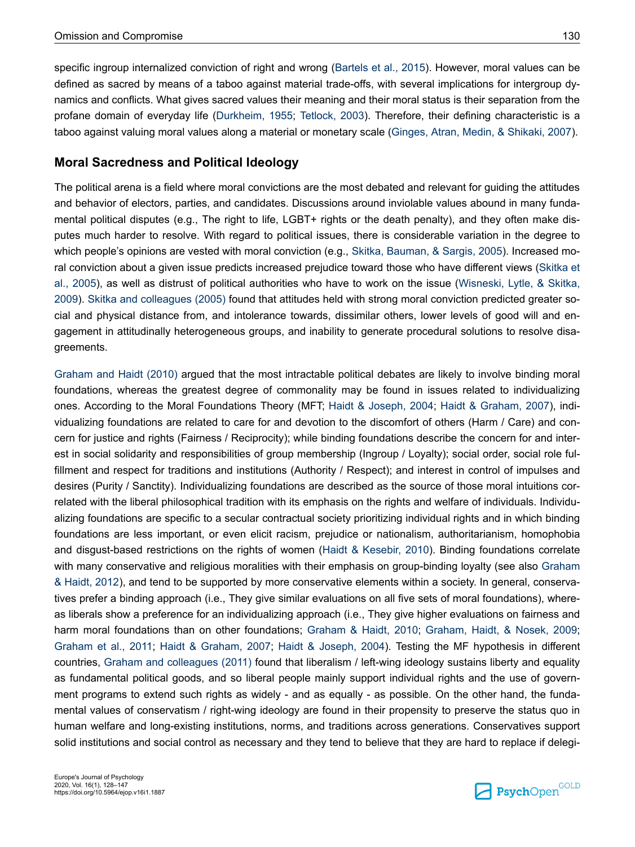specific ingroup internalized conviction of right and wrong (Bartels et al., 2015). However, moral values can be defined as sacred by means of a taboo against material trade-offs, with several implications for intergroup dynamics and conflicts. What gives sacred values their meaning and their moral status is their separation from the profane domain of everyday life (Durkheim, 1955; Tetlock, 2003). Therefore, their defining characteristic is a taboo against valuing moral values along a material or monetary scale (Ginges, Atran, Medin, & Shikaki, 2007).

### **Moral Sacredness and Political Ideology**

The political arena is a field where moral convictions are the most debated and relevant for guiding the attitudes and behavior of electors, parties, and candidates. Discussions around inviolable values abound in many fundamental political disputes (e.g., The right to life, LGBT+ rights or the death penalty), and they often make disputes much harder to resolve. With regard to political issues, there is considerable variation in the degree to which people's opinions are vested with moral conviction (e.g., Skitka, Bauman, & Sargis, 2005). Increased moral conviction about a given issue predicts increased prejudice toward those who have different views (Skitka et al., 2005), as well as distrust of political authorities who have to work on the issue (Wisneski, Lytle, & Skitka, 2009). Skitka and colleagues (2005) found that attitudes held with strong moral conviction predicted greater social and physical distance from, and intolerance towards, dissimilar others, lower levels of good will and engagement in attitudinally heterogeneous groups, and inability to generate procedural solutions to resolve disagreements.

Graham and Haidt (2010) argued that the most intractable political debates are likely to involve binding moral foundations, whereas the greatest degree of commonality may be found in issues related to individualizing ones. According to the Moral Foundations Theory (MFT; Haidt & Joseph, 2004; Haidt & Graham, 2007), individualizing foundations are related to care for and devotion to the discomfort of others (Harm / Care) and concern for justice and rights (Fairness / Reciprocity); while binding foundations describe the concern for and interest in social solidarity and responsibilities of group membership (Ingroup / Loyalty); social order, social role fulfillment and respect for traditions and institutions (Authority / Respect); and interest in control of impulses and desires (Purity / Sanctity). Individualizing foundations are described as the source of those moral intuitions correlated with the liberal philosophical tradition with its emphasis on the rights and welfare of individuals. Individualizing foundations are specific to a secular contractual society prioritizing individual rights and in which binding foundations are less important, or even elicit racism, prejudice or nationalism, authoritarianism, homophobia and disgust-based restrictions on the rights of women (Haidt & Kesebir, 2010). Binding foundations correlate with many conservative and religious moralities with their emphasis on group-binding loyalty (see also Graham & Haidt, 2012), and tend to be supported by more conservative elements within a society. In general, conservatives prefer a binding approach (i.e., They give similar evaluations on all five sets of moral foundations), whereas liberals show a preference for an individualizing approach (i.e., They give higher evaluations on fairness and harm moral foundations than on other foundations; Graham & Haidt, 2010; Graham, Haidt, & Nosek, 2009; Graham et al., 2011; Haidt & Graham, 2007; Haidt & Joseph, 2004). Testing the MF hypothesis in different countries, Graham and colleagues (2011) found that liberalism / left-wing ideology sustains liberty and equality as fundamental political goods, and so liberal people mainly support individual rights and the use of government programs to extend such rights as widely - and as equally - as possible. On the other hand, the fundamental values of conservatism / right-wing ideology are found in their propensity to preserve the status quo in human welfare and long-existing institutions, norms, and traditions across generations. Conservatives support solid institutions and social control as necessary and they tend to believe that they are hard to replace if delegi-

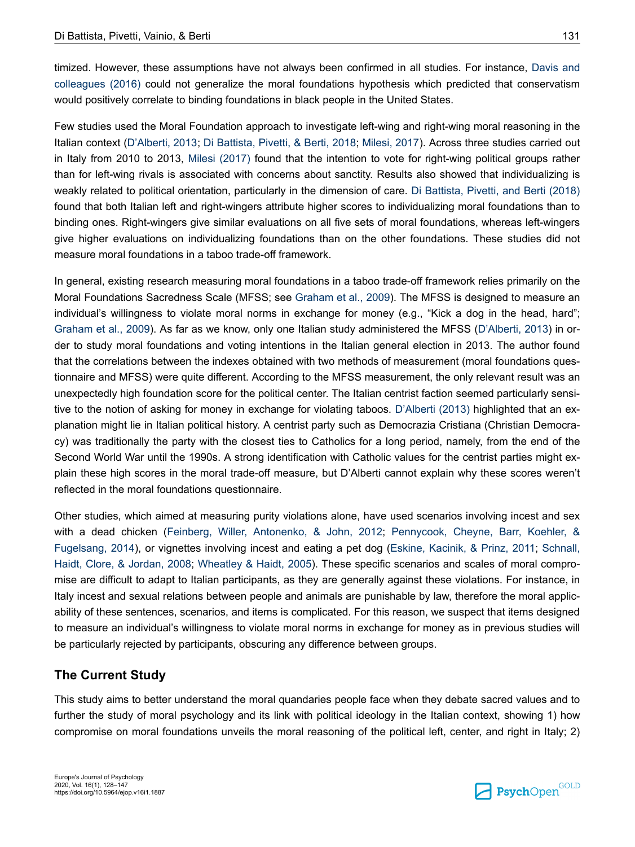timized. However, these assumptions have not always been confirmed in all studies. For instance, Davis and colleagues (2016) could not generalize the moral foundations hypothesis which predicted that conservatism would positively correlate to binding foundations in black people in the United States.

Few studies used the Moral Foundation approach to investigate left-wing and right-wing moral reasoning in the Italian context (D'Alberti, 2013; Di Battista, Pivetti, & Berti, 2018; Milesi, 2017). Across three studies carried out in Italy from 2010 to 2013, Milesi (2017) found that the intention to vote for right-wing political groups rather than for left-wing rivals is associated with concerns about sanctity. Results also showed that individualizing is weakly related to political orientation, particularly in the dimension of care. Di Battista, Pivetti, and Berti (2018) found that both Italian left and right-wingers attribute higher scores to individualizing moral foundations than to binding ones. Right-wingers give similar evaluations on all five sets of moral foundations, whereas left-wingers give higher evaluations on individualizing foundations than on the other foundations. These studies did not measure moral foundations in a taboo trade-off framework.

In general, existing research measuring moral foundations in a taboo trade-off framework relies primarily on the Moral Foundations Sacredness Scale (MFSS; see Graham et al., 2009). The MFSS is designed to measure an individual's willingness to violate moral norms in exchange for money (e.g., "Kick a dog in the head, hard"; Graham et al., 2009). As far as we know, only one Italian study administered the MFSS (D'Alberti, 2013) in order to study moral foundations and voting intentions in the Italian general election in 2013. The author found that the correlations between the indexes obtained with two methods of measurement (moral foundations questionnaire and MFSS) were quite different. According to the MFSS measurement, the only relevant result was an unexpectedly high foundation score for the political center. The Italian centrist faction seemed particularly sensitive to the notion of asking for money in exchange for violating taboos. D'Alberti (2013) highlighted that an explanation might lie in Italian political history. A centrist party such as Democrazia Cristiana (Christian Democracy) was traditionally the party with the closest ties to Catholics for a long period, namely, from the end of the Second World War until the 1990s. A strong identification with Catholic values for the centrist parties might explain these high scores in the moral trade-off measure, but D'Alberti cannot explain why these scores weren't reflected in the moral foundations questionnaire.

Other studies, which aimed at measuring purity violations alone, have used scenarios involving incest and sex with a dead chicken (Feinberg, Willer, Antonenko, & John, 2012; Pennycook, Cheyne, Barr, Koehler, & Fugelsang, 2014), or vignettes involving incest and eating a pet dog (Eskine, Kacinik, & Prinz, 2011; Schnall, Haidt, Clore, & Jordan, 2008; Wheatley & Haidt, 2005). These specific scenarios and scales of moral compromise are difficult to adapt to Italian participants, as they are generally against these violations. For instance, in Italy incest and sexual relations between people and animals are punishable by law, therefore the moral applicability of these sentences, scenarios, and items is complicated. For this reason, we suspect that items designed to measure an individual's willingness to violate moral norms in exchange for money as in previous studies will be particularly rejected by participants, obscuring any difference between groups.

### **The Current Study**

This study aims to better understand the moral quandaries people face when they debate sacred values and to further the study of moral psychology and its link with political ideology in the Italian context, showing 1) how compromise on moral foundations unveils the moral reasoning of the political left, center, and right in Italy; 2)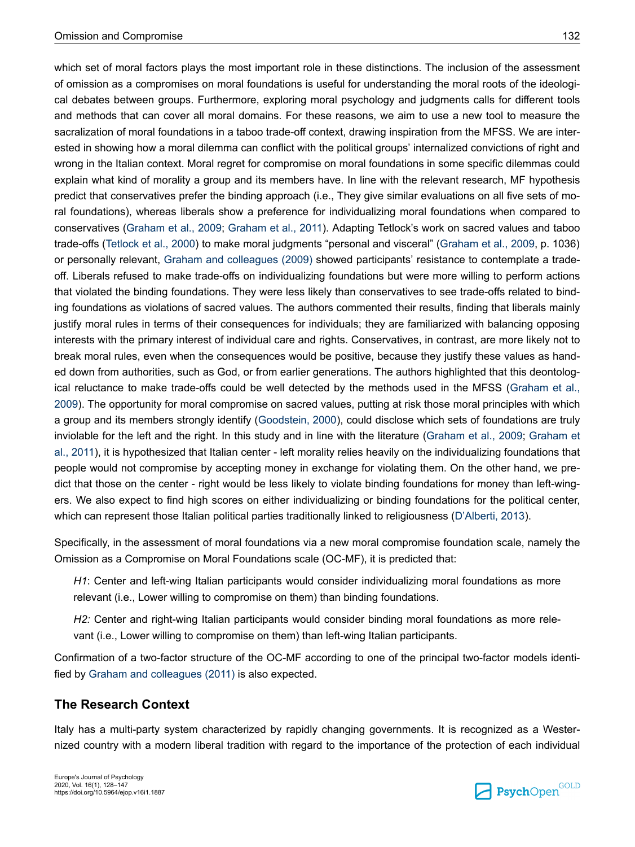which set of moral factors plays the most important role in these distinctions. The inclusion of the assessment of omission as a compromises on moral foundations is useful for understanding the moral roots of the ideological debates between groups. Furthermore, exploring moral psychology and judgments calls for different tools and methods that can cover all moral domains. For these reasons, we aim to use a new tool to measure the sacralization of moral foundations in a taboo trade-off context, drawing inspiration from the MFSS. We are interested in showing how a moral dilemma can conflict with the political groups' internalized convictions of right and wrong in the Italian context. Moral regret for compromise on moral foundations in some specific dilemmas could explain what kind of morality a group and its members have. In line with the relevant research, MF hypothesis predict that conservatives prefer the binding approach (i.e., They give similar evaluations on all five sets of moral foundations), whereas liberals show a preference for individualizing moral foundations when compared to conservatives (Graham et al., 2009; Graham et al., 2011). Adapting Tetlock's work on sacred values and taboo trade-offs (Tetlock et al., 2000) to make moral judgments "personal and visceral" (Graham et al., 2009, p. 1036) or personally relevant, Graham and colleagues (2009) showed participants' resistance to contemplate a tradeoff. Liberals refused to make trade-offs on individualizing foundations but were more willing to perform actions that violated the binding foundations. They were less likely than conservatives to see trade-offs related to binding foundations as violations of sacred values. The authors commented their results, finding that liberals mainly justify moral rules in terms of their consequences for individuals; they are familiarized with balancing opposing interests with the primary interest of individual care and rights. Conservatives, in contrast, are more likely not to break moral rules, even when the consequences would be positive, because they justify these values as handed down from authorities, such as God, or from earlier generations. The authors highlighted that this deontological reluctance to make trade-offs could be well detected by the methods used in the MFSS (Graham et al., 2009). The opportunity for moral compromise on sacred values, putting at risk those moral principles with which a group and its members strongly identify (Goodstein, 2000), could disclose which sets of foundations are truly inviolable for the left and the right. In this study and in line with the literature (Graham et al., 2009; Graham et al., 2011), it is hypothesized that Italian center - left morality relies heavily on the individualizing foundations that people would not compromise by accepting money in exchange for violating them. On the other hand, we predict that those on the center - right would be less likely to violate binding foundations for money than left-wingers. We also expect to find high scores on either individualizing or binding foundations for the political center, which can represent those Italian political parties traditionally linked to religiousness (D'Alberti, 2013).

Specifically, in the assessment of moral foundations via a new moral compromise foundation scale, namely the Omission as a Compromise on Moral Foundations scale (OC-MF), it is predicted that:

*H1*: Center and left-wing Italian participants would consider individualizing moral foundations as more relevant (i.e., Lower willing to compromise on them) than binding foundations.

*H2:* Center and right-wing Italian participants would consider binding moral foundations as more relevant (i.e., Lower willing to compromise on them) than left-wing Italian participants.

Confirmation of a two-factor structure of the OC-MF according to one of the principal two-factor models identified by Graham and colleagues (2011) is also expected.

# **The Research Context**

Italy has a multi-party system characterized by rapidly changing governments. It is recognized as a Westernized country with a modern liberal tradition with regard to the importance of the protection of each individual

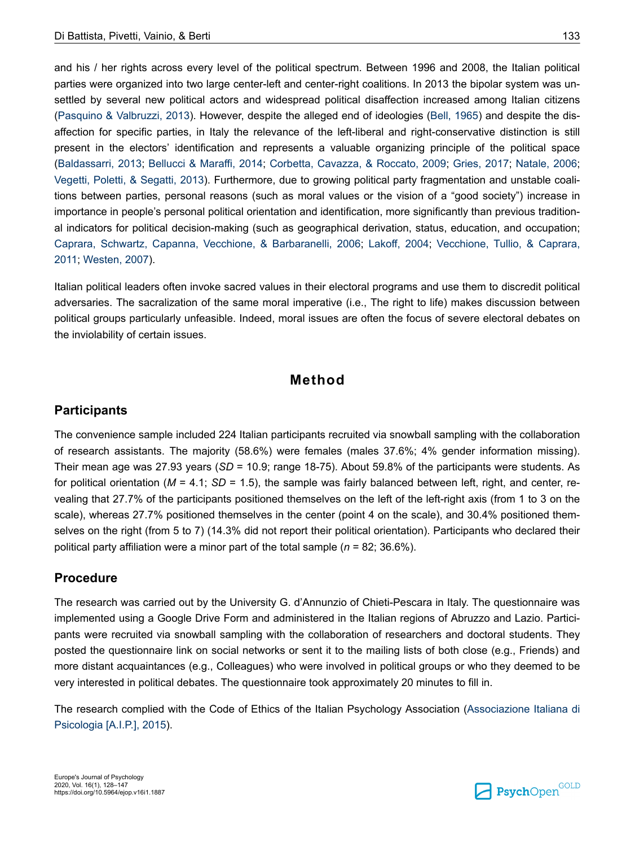and his / her rights across every level of the political spectrum. Between 1996 and 2008, the Italian political parties were organized into two large center-left and center-right coalitions. In 2013 the bipolar system was unsettled by several new political actors and widespread political disaffection increased among Italian citizens (Pasquino & Valbruzzi, 2013). However, despite the alleged end of ideologies (Bell, 1965) and despite the disaffection for specific parties, in Italy the relevance of the left-liberal and right-conservative distinction is still present in the electors' identification and represents a valuable organizing principle of the political space (Baldassarri, 2013; Bellucci & Maraffi, 2014; Corbetta, Cavazza, & Roccato, 2009; Gries, 2017; Natale, 2006; Vegetti, Poletti, & Segatti, 2013). Furthermore, due to growing political party fragmentation and unstable coalitions between parties, personal reasons (such as moral values or the vision of a "good society") increase in importance in people's personal political orientation and identification, more significantly than previous traditional indicators for political decision-making (such as geographical derivation, status, education, and occupation; Caprara, Schwartz, Capanna, Vecchione, & Barbaranelli, 2006; Lakoff, 2004; Vecchione, Tullio, & Caprara, 2011; Westen, 2007).

Italian political leaders often invoke sacred values in their electoral programs and use them to discredit political adversaries. The sacralization of the same moral imperative (i.e., The right to life) makes discussion between political groups particularly unfeasible. Indeed, moral issues are often the focus of severe electoral debates on the inviolability of certain issues.

# **Method**

### **Participants**

The convenience sample included 224 Italian participants recruited via snowball sampling with the collaboration of research assistants. The majority (58.6%) were females (males 37.6%; 4% gender information missing). Their mean age was 27.93 years (*SD* = 10.9; range 18-75). About 59.8% of the participants were students. As for political orientation ( $M = 4.1$ ;  $SD = 1.5$ ), the sample was fairly balanced between left, right, and center, revealing that 27.7% of the participants positioned themselves on the left of the left-right axis (from 1 to 3 on the scale), whereas 27.7% positioned themselves in the center (point 4 on the scale), and 30.4% positioned themselves on the right (from 5 to 7) (14.3% did not report their political orientation). Participants who declared their political party affiliation were a minor part of the total sample (*n* = 82; 36.6%).

### **Procedure**

The research was carried out by the University G. d'Annunzio of Chieti-Pescara in Italy. The questionnaire was implemented using a Google Drive Form and administered in the Italian regions of Abruzzo and Lazio. Participants were recruited via snowball sampling with the collaboration of researchers and doctoral students. They posted the questionnaire link on social networks or sent it to the mailing lists of both close (e.g., Friends) and more distant acquaintances (e.g., Colleagues) who were involved in political groups or who they deemed to be very interested in political debates. The questionnaire took approximately 20 minutes to fill in.

The research complied with the Code of Ethics of the Italian Psychology Association (Associazione Italiana di Psicologia [A.I.P.], 2015).

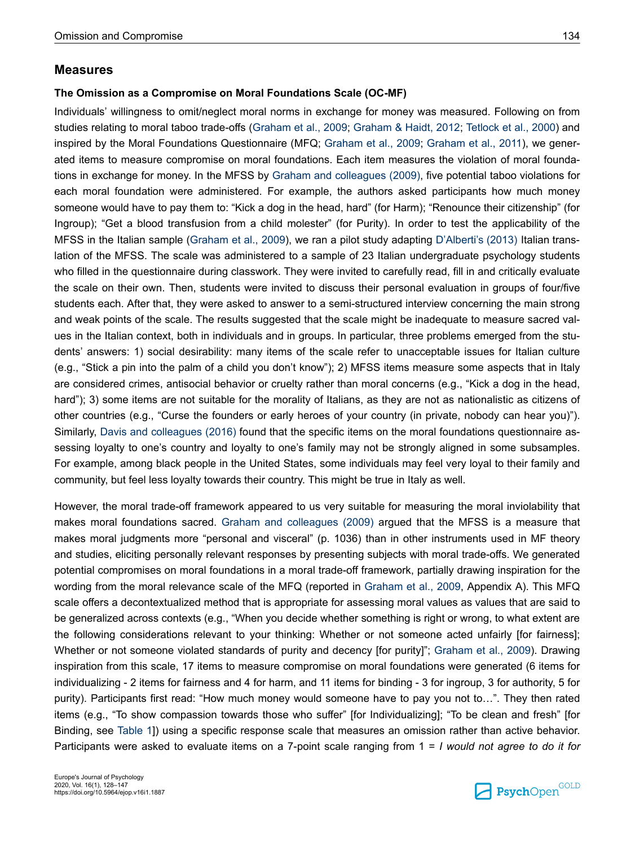#### **Measures**

#### **The Omission as a Compromise on Moral Foundations Scale (OC-MF)**

Individuals' willingness to omit/neglect moral norms in exchange for money was measured. Following on from studies relating to moral taboo trade-offs (Graham et al., 2009; Graham & Haidt, 2012; Tetlock et al., 2000) and inspired by the Moral Foundations Questionnaire (MFQ; Graham et al., 2009; Graham et al., 2011), we generated items to measure compromise on moral foundations. Each item measures the violation of moral foundations in exchange for money. In the MFSS by Graham and colleagues (2009), five potential taboo violations for each moral foundation were administered. For example, the authors asked participants how much money someone would have to pay them to: "Kick a dog in the head, hard" (for Harm); "Renounce their citizenship" (for Ingroup); "Get a blood transfusion from a child molester" (for Purity). In order to test the applicability of the MFSS in the Italian sample (Graham et al., 2009), we ran a pilot study adapting D'Alberti's (2013) Italian translation of the MFSS. The scale was administered to a sample of 23 Italian undergraduate psychology students who filled in the questionnaire during classwork. They were invited to carefully read, fill in and critically evaluate the scale on their own. Then, students were invited to discuss their personal evaluation in groups of four/five students each. After that, they were asked to answer to a semi-structured interview concerning the main strong and weak points of the scale. The results suggested that the scale might be inadequate to measure sacred values in the Italian context, both in individuals and in groups. In particular, three problems emerged from the students' answers: 1) social desirability: many items of the scale refer to unacceptable issues for Italian culture (e.g., "Stick a pin into the palm of a child you don't know"); 2) MFSS items measure some aspects that in Italy are considered crimes, antisocial behavior or cruelty rather than moral concerns (e.g., "Kick a dog in the head, hard"); 3) some items are not suitable for the morality of Italians, as they are not as nationalistic as citizens of other countries (e.g., "Curse the founders or early heroes of your country (in private, nobody can hear you)"). Similarly, Davis and colleagues (2016) found that the specific items on the moral foundations questionnaire assessing loyalty to one's country and loyalty to one's family may not be strongly aligned in some subsamples. For example, among black people in the United States, some individuals may feel very loyal to their family and community, but feel less loyalty towards their country. This might be true in Italy as well.

However, the moral trade-off framework appeared to us very suitable for measuring the moral inviolability that makes moral foundations sacred. Graham and colleagues (2009) argued that the MFSS is a measure that makes moral judgments more "personal and visceral" (p. 1036) than in other instruments used in MF theory and studies, eliciting personally relevant responses by presenting subjects with moral trade-offs. We generated potential compromises on moral foundations in a moral trade-off framework, partially drawing inspiration for the wording from the moral relevance scale of the MFQ (reported in Graham et al., 2009, Appendix A). This MFQ scale offers a decontextualized method that is appropriate for assessing moral values as values that are said to be generalized across contexts (e.g., "When you decide whether something is right or wrong, to what extent are the following considerations relevant to your thinking: Whether or not someone acted unfairly [for fairness]; Whether or not someone violated standards of purity and decency [for purity]"; Graham et al., 2009). Drawing inspiration from this scale, 17 items to measure compromise on moral foundations were generated (6 items for individualizing - 2 items for fairness and 4 for harm, and 11 items for binding - 3 for ingroup, 3 for authority, 5 for purity). Participants first read: "How much money would someone have to pay you not to…". They then rated items (e.g., "To show compassion towards those who suffer" [for Individualizing]; "To be clean and fresh" [for Binding, see Table 1]) using a specific response scale that measures an omission rather than active behavior. Participants were asked to evaluate items on a 7-point scale ranging from 1 = *I would not agree to do it for*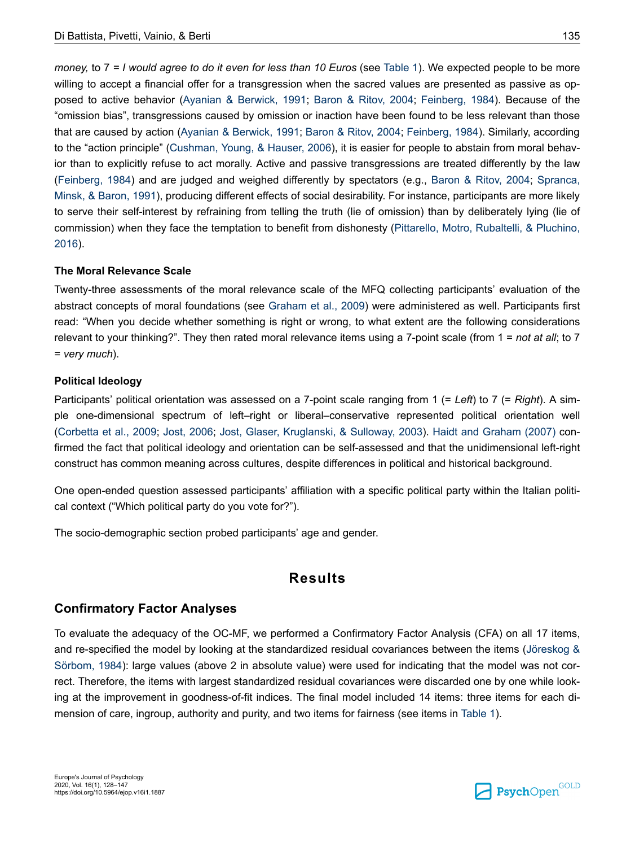*money,* to 7 *= I would agree to do it even for less than 10 Euros* (see Table 1). We expected people to be more willing to accept a financial offer for a transgression when the sacred values are presented as passive as opposed to active behavior (Ayanian & Berwick, 1991; Baron & Ritov, 2004; Feinberg, 1984). Because of the "omission bias", transgressions caused by omission or inaction have been found to be less relevant than those that are caused by action (Ayanian & Berwick, 1991; Baron & Ritov, 2004; Feinberg, 1984). Similarly, according to the "action principle" (Cushman, Young, & Hauser, 2006), it is easier for people to abstain from moral behavior than to explicitly refuse to act morally. Active and passive transgressions are treated differently by the law (Feinberg, 1984) and are judged and weighed differently by spectators (e.g., Baron & Ritov, 2004; Spranca, Minsk, & Baron, 1991), producing different effects of social desirability. For instance, participants are more likely to serve their self-interest by refraining from telling the truth (lie of omission) than by deliberately lying (lie of commission) when they face the temptation to benefit from dishonesty (Pittarello, Motro, Rubaltelli, & Pluchino, 2016).

#### **The Moral Relevance Scale**

Twenty-three assessments of the moral relevance scale of the MFQ collecting participants' evaluation of the abstract concepts of moral foundations (see Graham et al., 2009) were administered as well. Participants first read: "When you decide whether something is right or wrong, to what extent are the following considerations relevant to your thinking?". They then rated moral relevance items using a 7-point scale (from 1 = *not at all*; to 7 = *very much*).

#### **Political Ideology**

Participants' political orientation was assessed on a 7-point scale ranging from 1 (= *Left*) to 7 (= *Right*). A simple one-dimensional spectrum of left–right or liberal–conservative represented political orientation well (Corbetta et al., 2009; Jost, 2006; Jost, Glaser, Kruglanski, & Sulloway, 2003). Haidt and Graham (2007) confirmed the fact that political ideology and orientation can be self-assessed and that the unidimensional left-right construct has common meaning across cultures, despite differences in political and historical background.

One open-ended question assessed participants' affiliation with a specific political party within the Italian political context ("Which political party do you vote for?").

The socio-demographic section probed participants' age and gender.

# **Results**

### **Confirmatory Factor Analyses**

To evaluate the adequacy of the OC-MF, we performed a Confirmatory Factor Analysis (CFA) on all 17 items, and re-specified the model by looking at the standardized residual covariances between the items (Jöreskog & Sörbom, 1984): large values (above 2 in absolute value) were used for indicating that the model was not correct. Therefore, the items with largest standardized residual covariances were discarded one by one while looking at the improvement in goodness-of-fit indices. The final model included 14 items: three items for each dimension of care, ingroup, authority and purity, and two items for fairness (see items in Table 1).

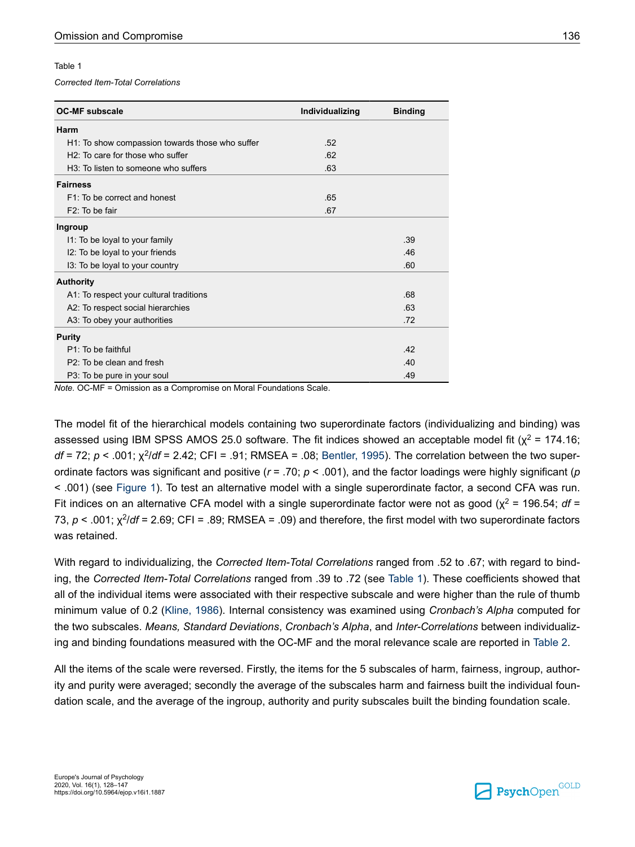#### Table 1

*Corrected Item-Total Correlations*

| <b>OC-MF subscale</b>                             | Individualizing | <b>Binding</b> |
|---------------------------------------------------|-----------------|----------------|
| Harm                                              |                 |                |
| H1: To show compassion towards those who suffer   | .52             |                |
| $H2$ . To care for those who suffer               | .62             |                |
| H <sub>3</sub> : To listen to someone who suffers | .63             |                |
| <b>Fairness</b>                                   |                 |                |
| F1: To be correct and honest                      | .65             |                |
| F <sub>2</sub> : To be fair                       | .67             |                |
| Ingroup                                           |                 |                |
| 11: To be loyal to your family                    |                 | .39            |
| I2: To be loyal to your friends                   |                 | .46            |
| 13: To be loyal to your country                   |                 | .60            |
| <b>Authority</b>                                  |                 |                |
| A1: To respect your cultural traditions           |                 | .68            |
| A2: To respect social hierarchies                 |                 | .63            |
| A3: To obey your authorities                      |                 | .72            |
| <b>Purity</b>                                     |                 |                |
| $P1$ To be faithful                               |                 | .42            |
| P <sub>2</sub> : To be clean and fresh            |                 | .40            |
| P3: To be pure in your soul                       |                 | .49            |

*Note.* OC-MF = Omission as a Compromise on Moral Foundations Scale.

The model fit of the hierarchical models containing two superordinate factors (individualizing and binding) was assessed using IBM SPSS AMOS 25.0 software. The fit indices showed an acceptable model fit ( $\chi^2$  = 174.16; *df* = 72; *p* < .001;  $\chi^2$ /*df* = 2.42; CFI = .91; RMSEA = .08; Bentler, 1995). The correlation between the two superordinate factors was significant and positive (*r* = .70; *p* < .001), and the factor loadings were highly significant (*p* < .001) (see Figure 1). To test an alternative model with a single superordinate factor, a second CFA was run. Fit indices on an alternative CFA model with a single superordinate factor were not as good ( $\chi^2$  = 196.54; *df* = 73, *p* < .001; χ<sup>2</sup> /*df* = 2.69; CFI = .89; RMSEA = .09) and therefore, the first model with two superordinate factors was retained.

With regard to individualizing, the *Corrected Item-Total Correlations* ranged from .52 to .67; with regard to binding, the *Corrected Item-Total Correlations* ranged from .39 to .72 (see Table 1). These coefficients showed that all of the individual items were associated with their respective subscale and were higher than the rule of thumb minimum value of 0.2 (Kline, 1986). Internal consistency was examined using *Cronbach's Alpha* computed for the two subscales. *Means, Standard Deviations*, *Cronbach's Alpha*, and *Inter-Correlations* between individualizing and binding foundations measured with the OC-MF and the moral relevance scale are reported in Table 2.

All the items of the scale were reversed. Firstly, the items for the 5 subscales of harm, fairness, ingroup, authority and purity were averaged; secondly the average of the subscales harm and fairness built the individual foundation scale, and the average of the ingroup, authority and purity subscales built the binding foundation scale.

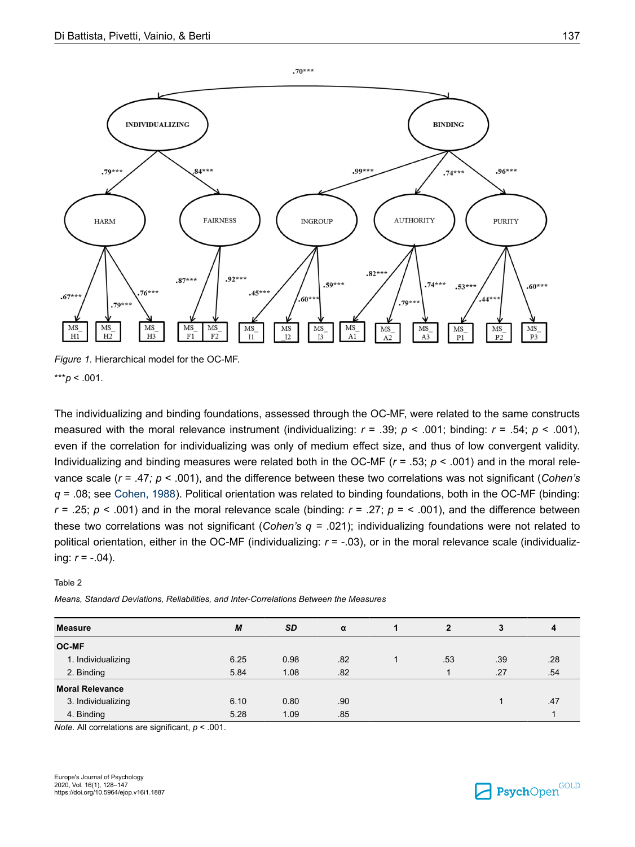

*Figure 1.* Hierarchical model for the OC-MF. \*\*\**p* < .001.

The individualizing and binding foundations, assessed through the OC-MF, were related to the same constructs measured with the moral relevance instrument (individualizing:  $r = .39$ ;  $p < .001$ ; binding:  $r = .54$ ;  $p < .001$ ), even if the correlation for individualizing was only of medium effect size, and thus of low convergent validity. Individualizing and binding measures were related both in the OC-MF (*r* = .53; *p* < .001) and in the moral relevance scale (*r* = .47*; p* < .001), and the difference between these two correlations was not significant (*Cohen's q =* .08; see Cohen, 1988). Political orientation was related to binding foundations, both in the OC-MF (binding: *r* = .25;  $p$  < .001) and in the moral relevance scale (binding:  $r = .27$ ;  $p =$  < .001), and the difference between these two correlations was not significant (*Cohen's q =* .021); individualizing foundations were not related to political orientation, either in the OC-MF (individualizing: *r* = -.03), or in the moral relevance scale (individualizing:  $r = -.04$ ).

Table 2

*Means, Standard Deviations, Reliabilities, and Inter-Correlations Between the Measures*

| <b>Measure</b>         | M    | <b>SD</b> | α   |     | 3   | 4   |
|------------------------|------|-----------|-----|-----|-----|-----|
| <b>OC-MF</b>           |      |           |     |     |     |     |
| 1. Individualizing     | 6.25 | 0.98      | .82 | .53 | .39 | .28 |
| 2. Binding             | 5.84 | 1.08      | .82 |     | .27 | .54 |
| <b>Moral Relevance</b> |      |           |     |     |     |     |
| 3. Individualizing     | 6.10 | 0.80      | .90 |     |     | .47 |
| 4. Binding             | 5.28 | 1.09      | .85 |     |     |     |

*Note*. All correlations are significant, *p* < .001.

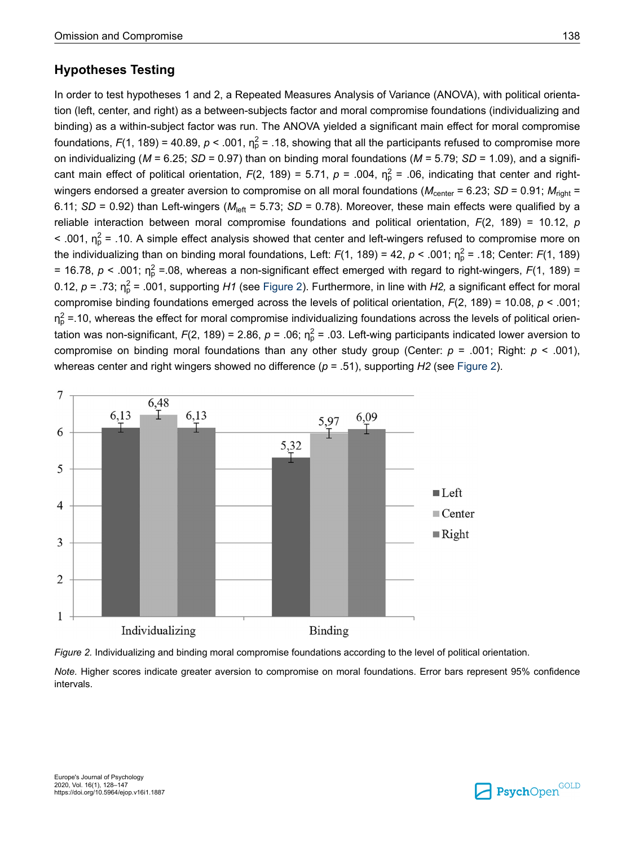# **Hypotheses Testing**

In order to test hypotheses 1 and 2, a Repeated Measures Analysis of Variance (ANOVA), with political orientation (left, center, and right) as a between-subjects factor and moral compromise foundations (individualizing and binding) as a within-subject factor was run. The ANOVA yielded a significant main effect for moral compromise foundations, *F*(1, 189) = 40.89, *p* < .001,  $\eta_p^2$  = .18, showing that all the participants refused to compromise more on individualizing (*M* = 6.25; *SD* = 0.97) than on binding moral foundations (*M* = 5.79; *SD* = 1.09), and a significant main effect of political orientation,  $F(2, 189) = 5.71$ ,  $p = .004$ ,  $\eta_p^2 = .06$ , indicating that center and rightwingers endorsed a greater aversion to compromise on all moral foundations ( $M_{\text{center}} = 6.23$ ; *SD* = 0.91;  $M_{\text{right}} =$ 6.11; *SD* = 0.92) than Left-wingers ( $M_{\text{left}}$  = 5.73; *SD* = 0.78). Moreover, these main effects were qualified by a reliable interaction between moral compromise foundations and political orientation, *F*(2, 189) = 10.12, *p* < .001,  $\eta_p^2$  = .10. A simple effect analysis showed that center and left-wingers refused to compromise more on the individualizing than on binding moral foundations, Left: *F*(1, 189) = 42, *p* < .001; n $^2_\text{p}$  = .18; Center: *F*(1, 189) = 16.78,  $p$  < .001;  $\eta_p^2$  = 08, whereas a non-significant effect emerged with regard to right-wingers, *F*(1, 189) = 0.12,  $p = .73$ ;  $\eta_p^2 = .001$ , supporting *H1* (see Figure 2). Furthermore, in line with *H2,* a significant effect for moral compromise binding foundations emerged across the levels of political orientation, *F*(2, 189) = 10.08, *p* < .001;  $\eta_p^2$  =.10, whereas the effect for moral compromise individualizing foundations across the levels of political orientation was non-significant, *F*(2, 189) = 2.86, *p* = .06;  $\eta^2$  = .03. Left-wing participants indicated lower aversion to compromise on binding moral foundations than any other study group (Center: *p* = .001; Right: *p* < .001), whereas center and right wingers showed no difference (*p* = .51), supporting *H2* (see Figure 2).





*Note.* Higher scores indicate greater aversion to compromise on moral foundations. Error bars represent 95% confidence intervals.

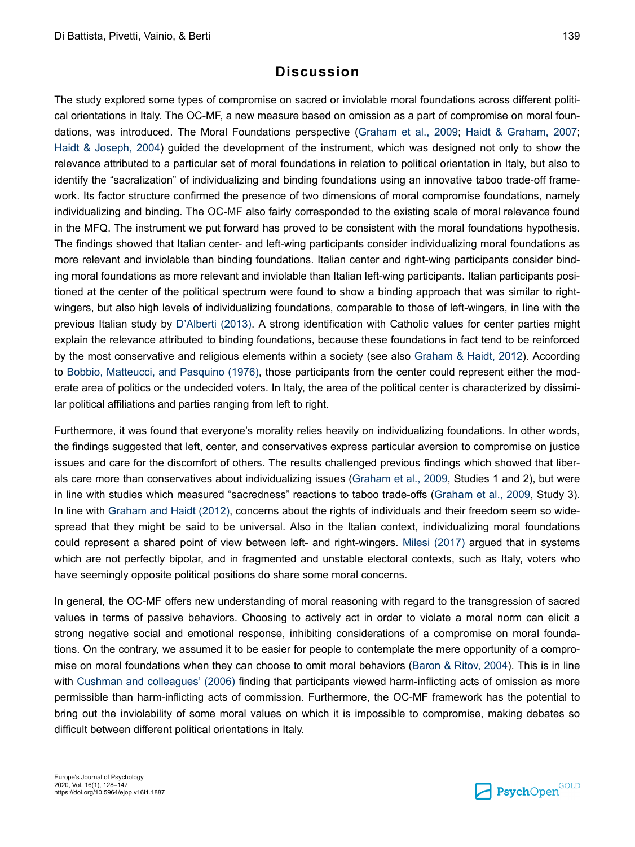# **Discussion**

The study explored some types of compromise on sacred or inviolable moral foundations across different political orientations in Italy. The OC-MF, a new measure based on omission as a part of compromise on moral foundations, was introduced. The Moral Foundations perspective (Graham et al., 2009; Haidt & Graham, 2007; Haidt & Joseph, 2004) guided the development of the instrument, which was designed not only to show the relevance attributed to a particular set of moral foundations in relation to political orientation in Italy, but also to identify the "sacralization" of individualizing and binding foundations using an innovative taboo trade-off framework. Its factor structure confirmed the presence of two dimensions of moral compromise foundations, namely individualizing and binding. The OC-MF also fairly corresponded to the existing scale of moral relevance found in the MFQ. The instrument we put forward has proved to be consistent with the moral foundations hypothesis. The findings showed that Italian center- and left-wing participants consider individualizing moral foundations as more relevant and inviolable than binding foundations. Italian center and right-wing participants consider binding moral foundations as more relevant and inviolable than Italian left-wing participants. Italian participants positioned at the center of the political spectrum were found to show a binding approach that was similar to rightwingers, but also high levels of individualizing foundations, comparable to those of left-wingers, in line with the previous Italian study by D'Alberti (2013). A strong identification with Catholic values for center parties might explain the relevance attributed to binding foundations, because these foundations in fact tend to be reinforced by the most conservative and religious elements within a society (see also Graham & Haidt, 2012). According to Bobbio, Matteucci, and Pasquino (1976), those participants from the center could represent either the moderate area of politics or the undecided voters. In Italy, the area of the political center is characterized by dissimilar political affiliations and parties ranging from left to right.

Furthermore, it was found that everyone's morality relies heavily on individualizing foundations. In other words, the findings suggested that left, center, and conservatives express particular aversion to compromise on justice issues and care for the discomfort of others. The results challenged previous findings which showed that liberals care more than conservatives about individualizing issues (Graham et al., 2009, Studies 1 and 2), but were in line with studies which measured "sacredness" reactions to taboo trade-offs (Graham et al., 2009, Study 3). In line with Graham and Haidt (2012), concerns about the rights of individuals and their freedom seem so widespread that they might be said to be universal. Also in the Italian context, individualizing moral foundations could represent a shared point of view between left- and right-wingers. Milesi (2017) argued that in systems which are not perfectly bipolar, and in fragmented and unstable electoral contexts, such as Italy, voters who have seemingly opposite political positions do share some moral concerns.

In general, the OC-MF offers new understanding of moral reasoning with regard to the transgression of sacred values in terms of passive behaviors. Choosing to actively act in order to violate a moral norm can elicit a strong negative social and emotional response, inhibiting considerations of a compromise on moral foundations. On the contrary, we assumed it to be easier for people to contemplate the mere opportunity of a compromise on moral foundations when they can choose to omit moral behaviors (Baron & Ritov, 2004). This is in line with Cushman and colleagues' (2006) finding that participants viewed harm-inflicting acts of omission as more permissible than harm-inflicting acts of commission. Furthermore, the OC-MF framework has the potential to bring out the inviolability of some moral values on which it is impossible to compromise, making debates so difficult between different political orientations in Italy.

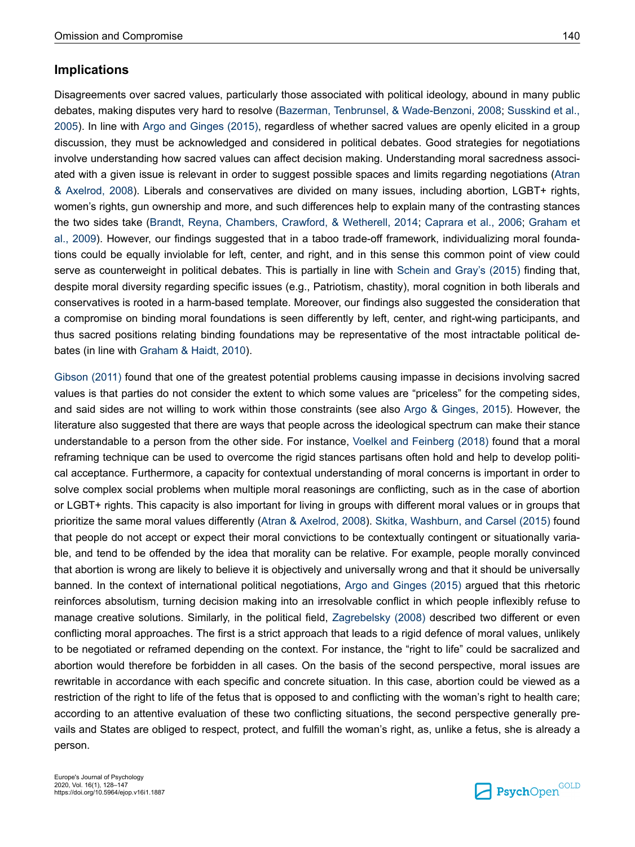## **Implications**

Disagreements over sacred values, particularly those associated with political ideology, abound in many public debates, making disputes very hard to resolve (Bazerman, Tenbrunsel, & Wade-Benzoni, 2008; Susskind et al., 2005). In line with Argo and Ginges (2015), regardless of whether sacred values are openly elicited in a group discussion, they must be acknowledged and considered in political debates. Good strategies for negotiations involve understanding how sacred values can affect decision making. Understanding moral sacredness associated with a given issue is relevant in order to suggest possible spaces and limits regarding negotiations (Atran & Axelrod, 2008). Liberals and conservatives are divided on many issues, including abortion, LGBT+ rights, women's rights, gun ownership and more, and such differences help to explain many of the contrasting stances the two sides take (Brandt, Reyna, Chambers, Crawford, & Wetherell, 2014; Caprara et al., 2006; Graham et al., 2009). However, our findings suggested that in a taboo trade-off framework, individualizing moral foundations could be equally inviolable for left, center, and right, and in this sense this common point of view could serve as counterweight in political debates. This is partially in line with Schein and Gray's (2015) finding that, despite moral diversity regarding specific issues (e.g., Patriotism, chastity), moral cognition in both liberals and conservatives is rooted in a harm-based template. Moreover, our findings also suggested the consideration that a compromise on binding moral foundations is seen differently by left, center, and right-wing participants, and thus sacred positions relating binding foundations may be representative of the most intractable political debates (in line with Graham & Haidt, 2010).

Gibson (2011) found that one of the greatest potential problems causing impasse in decisions involving sacred values is that parties do not consider the extent to which some values are "priceless" for the competing sides, and said sides are not willing to work within those constraints (see also Argo & Ginges, 2015). However, the literature also suggested that there are ways that people across the ideological spectrum can make their stance understandable to a person from the other side. For instance, Voelkel and Feinberg (2018) found that a moral reframing technique can be used to overcome the rigid stances partisans often hold and help to develop political acceptance. Furthermore, a capacity for contextual understanding of moral concerns is important in order to solve complex social problems when multiple moral reasonings are conflicting, such as in the case of abortion or LGBT+ rights. This capacity is also important for living in groups with different moral values or in groups that prioritize the same moral values differently (Atran & Axelrod, 2008). Skitka, Washburn, and Carsel (2015) found that people do not accept or expect their moral convictions to be contextually contingent or situationally variable, and tend to be offended by the idea that morality can be relative. For example, people morally convinced that abortion is wrong are likely to believe it is objectively and universally wrong and that it should be universally banned. In the context of international political negotiations, Argo and Ginges (2015) argued that this rhetoric reinforces absolutism, turning decision making into an irresolvable conflict in which people inflexibly refuse to manage creative solutions. Similarly, in the political field, Zagrebelsky (2008) described two different or even conflicting moral approaches. The first is a strict approach that leads to a rigid defence of moral values, unlikely to be negotiated or reframed depending on the context. For instance, the "right to life" could be sacralized and abortion would therefore be forbidden in all cases. On the basis of the second perspective, moral issues are rewritable in accordance with each specific and concrete situation. In this case, abortion could be viewed as a restriction of the right to life of the fetus that is opposed to and conflicting with the woman's right to health care; according to an attentive evaluation of these two conflicting situations, the second perspective generally prevails and States are obliged to respect, protect, and fulfill the woman's right, as, unlike a fetus, she is already a person.

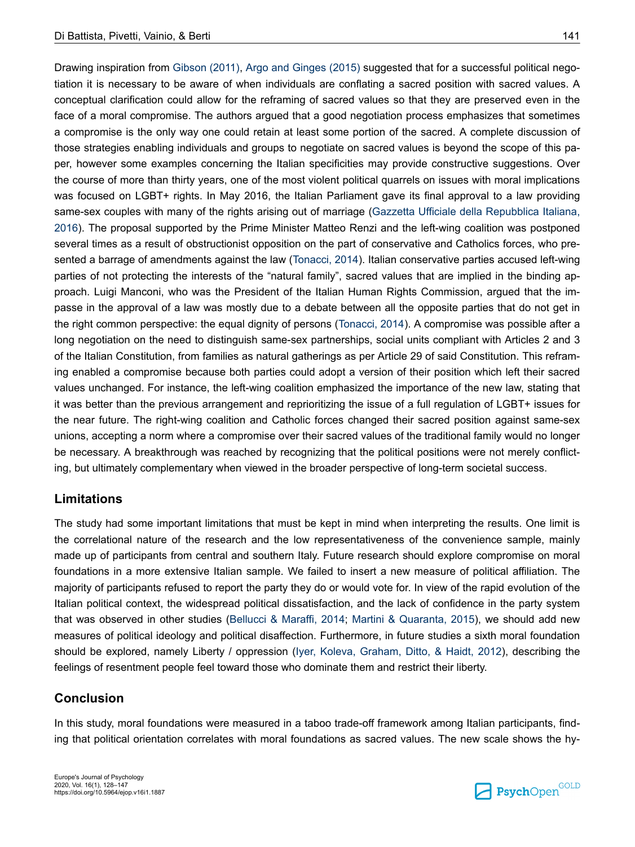Drawing inspiration from Gibson (2011), Argo and Ginges (2015) suggested that for a successful political negotiation it is necessary to be aware of when individuals are conflating a sacred position with sacred values. A conceptual clarification could allow for the reframing of sacred values so that they are preserved even in the face of a moral compromise. The authors argued that a good negotiation process emphasizes that sometimes a compromise is the only way one could retain at least some portion of the sacred. A complete discussion of those strategies enabling individuals and groups to negotiate on sacred values is beyond the scope of this paper, however some examples concerning the Italian specificities may provide constructive suggestions. Over the course of more than thirty years, one of the most violent political quarrels on issues with moral implications was focused on LGBT+ rights. In May 2016, the Italian Parliament gave its final approval to a law providing same-sex couples with many of the rights arising out of marriage (Gazzetta Ufficiale della Repubblica Italiana, 2016). The proposal supported by the Prime Minister Matteo Renzi and the left-wing coalition was postponed several times as a result of obstructionist opposition on the part of conservative and Catholics forces, who presented a barrage of amendments against the law (Tonacci, 2014). Italian conservative parties accused left-wing parties of not protecting the interests of the "natural family", sacred values that are implied in the binding approach. Luigi Manconi, who was the President of the Italian Human Rights Commission, argued that the impasse in the approval of a law was mostly due to a debate between all the opposite parties that do not get in the right common perspective: the equal dignity of persons (Tonacci, 2014). A compromise was possible after a long negotiation on the need to distinguish same-sex partnerships, social units compliant with Articles 2 and 3 of the Italian Constitution, from families as natural gatherings as per Article 29 of said Constitution. This reframing enabled a compromise because both parties could adopt a version of their position which left their sacred values unchanged. For instance, the left-wing coalition emphasized the importance of the new law, stating that it was better than the previous arrangement and reprioritizing the issue of a full regulation of LGBT+ issues for the near future. The right-wing coalition and Catholic forces changed their sacred position against same-sex unions, accepting a norm where a compromise over their sacred values of the traditional family would no longer be necessary. A breakthrough was reached by recognizing that the political positions were not merely conflicting, but ultimately complementary when viewed in the broader perspective of long-term societal success.

### **Limitations**

The study had some important limitations that must be kept in mind when interpreting the results. One limit is the correlational nature of the research and the low representativeness of the convenience sample, mainly made up of participants from central and southern Italy. Future research should explore compromise on moral foundations in a more extensive Italian sample. We failed to insert a new measure of political affiliation. The majority of participants refused to report the party they do or would vote for. In view of the rapid evolution of the Italian political context, the widespread political dissatisfaction, and the lack of confidence in the party system that was observed in other studies (Bellucci & Maraffi, 2014; Martini & Quaranta, 2015), we should add new measures of political ideology and political disaffection. Furthermore, in future studies a sixth moral foundation should be explored, namely Liberty / oppression (Iyer, Koleva, Graham, Ditto, & Haidt, 2012), describing the feelings of resentment people feel toward those who dominate them and restrict their liberty.

### **Conclusion**

In this study, moral foundations were measured in a taboo trade-off framework among Italian participants, finding that political orientation correlates with moral foundations as sacred values. The new scale shows the hy-

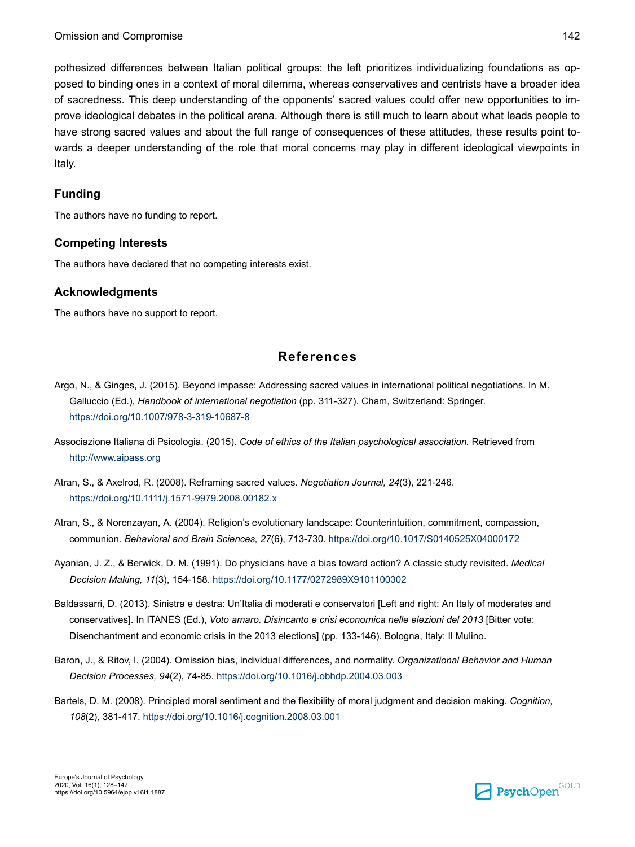pothesized differences between Italian political groups: the left prioritizes individualizing foundations as opposed to binding ones in a context of moral dilemma, whereas conservatives and centrists have a broader idea of sacredness. This deep understanding of the opponents' sacred values could offer new opportunities to improve ideological debates in the political arena. Although there is still much to learn about what leads people to have strong sacred values and about the full range of consequences of these attitudes, these results point towards a deeper understanding of the role that moral concerns may play in different ideological viewpoints in Italy.

#### **Funding**

The authors have no funding to report.

#### **Competing Interests**

The authors have declared that no competing interests exist.

#### **Acknowledgments**

The authors have no support to report.

## **References**

- Argo, N., & Ginges, J. (2015). Beyond impasse: Addressing sacred values in international political negotiations. In M. Galluccio (Ed.), *Handbook of international negotiation* (pp. 311-327). Cham, Switzerland: Springer. [https://doi.org/10.1007/978-3-319-10687-8](https://doi.org/10.1007%2F978-3-319-10687-8)
- Associazione Italiana di Psicologia. (2015). *Code of ethics of the Italian psychological association.* Retrieved from <http://www.aipass.org>
- Atran, S., & Axelrod, R. (2008). Reframing sacred values. *Negotiation Journal, 24*(3), 221-246. [https://doi.org/10.1111/j.1571-9979.2008.00182.x](https://doi.org/10.1111%2Fj.1571-9979.2008.00182.x)
- Atran, S., & Norenzayan, A. (2004). Religion's evolutionary landscape: Counterintuition, commitment, compassion, communion. *Behavioral and Brain Sciences, 27*(6), 713-730. [https://doi.org/10.1017/S0140525X04000172](https://doi.org/10.1017%2FS0140525X04000172)
- Ayanian, J. Z., & Berwick, D. M. (1991). Do physicians have a bias toward action? A classic study revisited. *Medical Decision Making, 11*(3), 154-158. [https://doi.org/10.1177/0272989X9101100302](https://doi.org/10.1177%2F0272989X9101100302)
- Baldassarri, D. (2013). Sinistra e destra: Un'Italia di moderati e conservatori [Left and right: An Italy of moderates and conservatives]. In ITANES (Ed.), *Voto amaro. Disincanto e crisi economica nelle elezioni del 2013* [Bitter vote: Disenchantment and economic crisis in the 2013 elections] (pp. 133-146). Bologna, Italy: Il Mulino.
- Baron, J., & Ritov, I. (2004). Omission bias, individual differences, and normality. *Organizational Behavior and Human Decision Processes, 94*(2), 74-85. [https://doi.org/10.1016/j.obhdp.2004.03.003](https://doi.org/10.1016%2Fj.obhdp.2004.03.003)
- Bartels, D. M. (2008). Principled moral sentiment and the flexibility of moral judgment and decision making. *Cognition, 108*(2), 381-417. [https://doi.org/10.1016/j.cognition.2008.03.001](https://doi.org/10.1016%2Fj.cognition.2008.03.001)

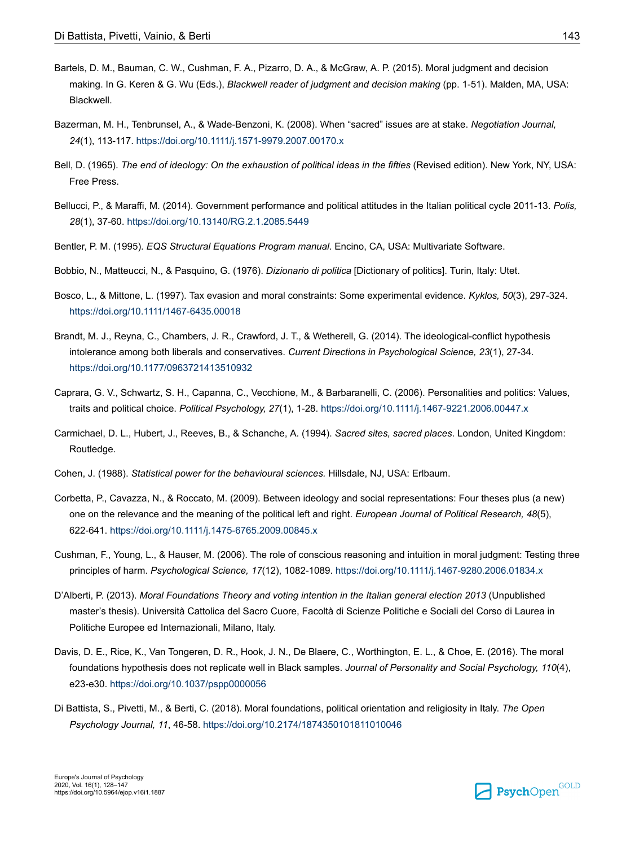- Bartels, D. M., Bauman, C. W., Cushman, F. A., Pizarro, D. A., & McGraw, A. P. (2015). Moral judgment and decision making. In G. Keren & G. Wu (Eds.), *Blackwell reader of judgment and decision making* (pp. 1-51). Malden, MA, USA: Blackwell.
- Bazerman, M. H., Tenbrunsel, A., & Wade-Benzoni, K. (2008). When "sacred" issues are at stake. *Negotiation Journal, 24*(1), 113-117. [https://doi.org/10.1111/j.1571-9979.2007.00170.x](https://doi.org/10.1111%2Fj.1571-9979.2007.00170.x)
- Bell, D. (1965). *The end of ideology: On the exhaustion of political ideas in the fifties* (Revised edition). New York, NY, USA: Free Press.
- Bellucci, P., & Maraffi, M. (2014). Government performance and political attitudes in the Italian political cycle 2011-13. *Polis, 28*(1), 37-60. [https://doi.org/10.13140/RG.2.1.2085.5449](https://doi.org/10.13140%2FRG.2.1.2085.5449)
- Bentler, P. M. (1995). *EQS Structural Equations Program manual*. Encino, CA, USA: Multivariate Software.
- Bobbio, N., Matteucci, N., & Pasquino, G. (1976). *Dizionario di politica* [Dictionary of politics]. Turin, Italy: Utet.
- Bosco, L., & Mittone, L. (1997). Tax evasion and moral constraints: Some experimental evidence. *Kyklos, 50*(3), 297-324. [https://doi.org/10.1111/1467-6435.00018](https://doi.org/10.1111%2F1467-6435.00018)
- Brandt, M. J., Reyna, C., Chambers, J. R., Crawford, J. T., & Wetherell, G. (2014). The ideological-conflict hypothesis intolerance among both liberals and conservatives. *Current Directions in Psychological Science, 23*(1), 27-34. [https://doi.org/10.1177/0963721413510932](https://doi.org/10.1177%2F0963721413510932)
- Caprara, G. V., Schwartz, S. H., Capanna, C., Vecchione, M., & Barbaranelli, C. (2006). Personalities and politics: Values, traits and political choice. *Political Psychology, 27*(1), 1-28. [https://doi.org/10.1111/j.1467-9221.2006.00447.x](https://doi.org/10.1111%2Fj.1467-9221.2006.00447.x)
- Carmichael, D. L., Hubert, J., Reeves, B., & Schanche, A. (1994). *Sacred sites, sacred places*. London, United Kingdom: Routledge.
- Cohen, J. (1988). *Statistical power for the behavioural sciences.* Hillsdale, NJ, USA: Erlbaum.
- Corbetta, P., Cavazza, N., & Roccato, M. (2009). Between ideology and social representations: Four theses plus (a new) one on the relevance and the meaning of the political left and right. *European Journal of Political Research, 48*(5), 622-641. [https://doi.org/10.1111/j.1475-6765.2009.00845.x](https://doi.org/10.1111%2Fj.1475-6765.2009.00845.x)
- Cushman, F., Young, L., & Hauser, M. (2006). The role of conscious reasoning and intuition in moral judgment: Testing three principles of harm. *Psychological Science, 17*(12), 1082-1089. [https://doi.org/10.1111/j.1467-9280.2006.01834.x](https://doi.org/10.1111%2Fj.1467-9280.2006.01834.x)
- D'Alberti, P. (2013). *Moral Foundations Theory and voting intention in the Italian general election 2013* (Unpublished master's thesis). Università Cattolica del Sacro Cuore, Facoltà di Scienze Politiche e Sociali del Corso di Laurea in Politiche Europee ed Internazionali, Milano, Italy.
- Davis, D. E., Rice, K., Van Tongeren, D. R., Hook, J. N., De Blaere, C., Worthington, E. L., & Choe, E. (2016). The moral foundations hypothesis does not replicate well in Black samples. *Journal of Personality and Social Psychology, 110*(4), e23-e30. [https://doi.org/10.1037/pspp0000056](https://doi.org/10.1037%2Fpspp0000056)
- Di Battista, S., Pivetti, M., & Berti, C. (2018). Moral foundations, political orientation and religiosity in Italy. *The Open Psychology Journal, 11*, 46-58. [https://doi.org/10.2174/1874350101811010046](https://doi.org/10.2174%2F1874350101811010046)

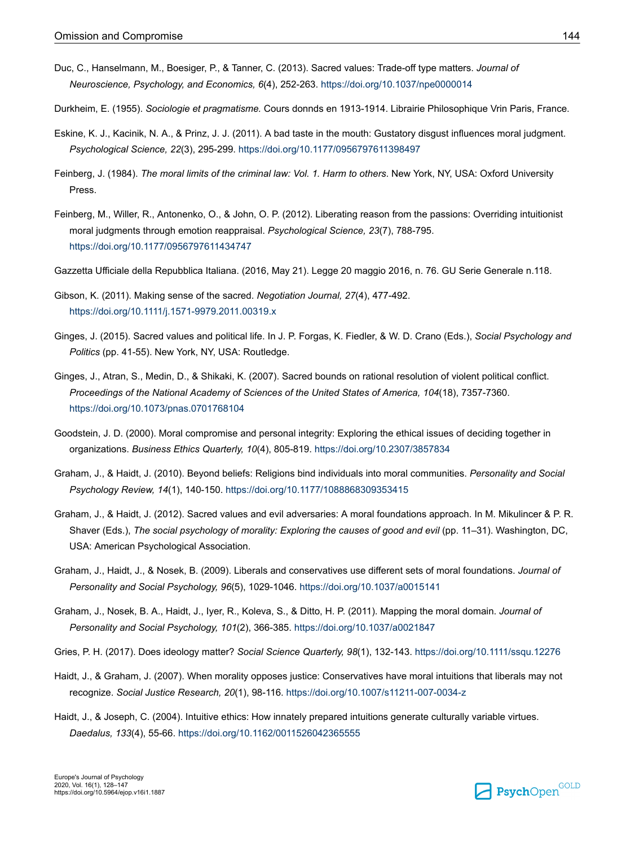- Duc, C., Hanselmann, M., Boesiger, P., & Tanner, C. (2013). Sacred values: Trade-off type matters. *Journal of Neuroscience, Psychology, and Economics, 6*(4), 252-263. [https://doi.org/10.1037/npe0000014](https://doi.org/10.1037%2Fnpe0000014)
- Durkheim, E. (1955). *Sociologie et pragmatisme.* Cours donnds en 1913-1914. Librairie Philosophique Vrin Paris, France.
- Eskine, K. J., Kacinik, N. A., & Prinz, J. J. (2011). A bad taste in the mouth: Gustatory disgust influences moral judgment. *Psychological Science, 22*(3), 295-299. [https://doi.org/10.1177/0956797611398497](https://doi.org/10.1177%2F0956797611398497)
- Feinberg, J. (1984). *The moral limits of the criminal law: Vol. 1. Harm to others*. New York, NY, USA: Oxford University Press.
- Feinberg, M., Willer, R., Antonenko, O., & John, O. P. (2012). Liberating reason from the passions: Overriding intuitionist moral judgments through emotion reappraisal. *Psychological Science, 23*(7), 788-795. [https://doi.org/10.1177/0956797611434747](https://doi.org/10.1177%2F0956797611434747)
- Gazzetta Ufficiale della Repubblica Italiana. (2016, May 21). Legge 20 maggio 2016, n. 76. GU Serie Generale n.118.
- Gibson, K. (2011). Making sense of the sacred. *Negotiation Journal, 27*(4), 477-492. [https://doi.org/10.1111/j.1571-9979.2011.00319.x](https://doi.org/10.1111%2Fj.1571-9979.2011.00319.x)
- Ginges, J. (2015). Sacred values and political life. In J. P. Forgas, K. Fiedler, & W. D. Crano (Eds.), *Social Psychology and Politics* (pp. 41-55). New York, NY, USA: Routledge.
- Ginges, J., Atran, S., Medin, D., & Shikaki, K. (2007). Sacred bounds on rational resolution of violent political conflict. *Proceedings of the National Academy of Sciences of the United States of America, 104*(18), 7357-7360. [https://doi.org/10.1073/pnas.0701768104](https://doi.org/10.1073%2Fpnas.0701768104)
- Goodstein, J. D. (2000). Moral compromise and personal integrity: Exploring the ethical issues of deciding together in organizations. *Business Ethics Quarterly, 10*(4), 805-819. [https://doi.org/10.2307/3857834](https://doi.org/10.2307%2F3857834)
- Graham, J., & Haidt, J. (2010). Beyond beliefs: Religions bind individuals into moral communities. *Personality and Social Psychology Review, 14*(1), 140-150. [https://doi.org/10.1177/1088868309353415](https://doi.org/10.1177%2F1088868309353415)
- Graham, J., & Haidt, J. (2012). Sacred values and evil adversaries: A moral foundations approach. In M. Mikulincer & P. R. Shaver (Eds.), *The social psychology of morality: Exploring the causes of good and evil* (pp. 11–31). Washington, DC, USA: American Psychological Association.
- Graham, J., Haidt, J., & Nosek, B. (2009). Liberals and conservatives use different sets of moral foundations. *Journal of Personality and Social Psychology, 96*(5), 1029-1046. [https://doi.org/10.1037/a0015141](https://doi.org/10.1037%2Fa0015141)
- Graham, J., Nosek, B. A., Haidt, J., Iyer, R., Koleva, S., & Ditto, H. P. (2011). Mapping the moral domain. *Journal of Personality and Social Psychology, 101*(2), 366-385. [https://doi.org/10.1037/a0021847](https://doi.org/10.1037%2Fa0021847)
- Gries, P. H. (2017). Does ideology matter? *Social Science Quarterly, 98*(1), 132-143. [https://doi.org/10.1111/ssqu.12276](https://doi.org/10.1111%2Fssqu.12276)
- Haidt, J., & Graham, J. (2007). When morality opposes justice: Conservatives have moral intuitions that liberals may not recognize. *Social Justice Research, 20*(1), 98-116. [https://doi.org/10.1007/s11211-007-0034-z](https://doi.org/10.1007%2Fs11211-007-0034-z)
- Haidt, J., & Joseph, C. (2004). Intuitive ethics: How innately prepared intuitions generate culturally variable virtues. *Daedalus, 133*(4), 55-66. [https://doi.org/10.1162/0011526042365555](https://doi.org/10.1162%2F0011526042365555)

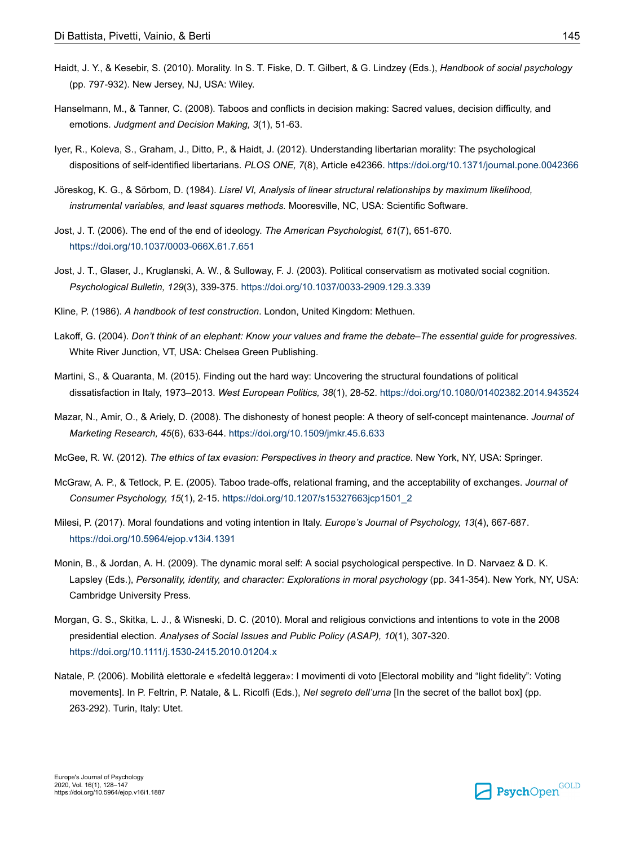- Haidt, J. Y., & Kesebir, S. (2010). Morality. In S. T. Fiske, D. T. Gilbert, & G. Lindzey (Eds.), *Handbook of social psychology* (pp. 797-932). New Jersey, NJ, USA: Wiley.
- Hanselmann, M., & Tanner, C. (2008). Taboos and conflicts in decision making: Sacred values, decision difficulty, and emotions. *Judgment and Decision Making, 3*(1), 51-63.
- Iyer, R., Koleva, S., Graham, J., Ditto, P., & Haidt, J. (2012). Understanding libertarian morality: The psychological dispositions of self-identified libertarians. *PLOS ONE, 7*(8), Article e42366. [https://doi.org/10.1371/journal.pone.0042366](https://doi.org/10.1371%2Fjournal.pone.0042366)
- Jöreskog, K. G., & Sörbom, D. (1984). *Lisrel VI, Analysis of linear structural relationships by maximum likelihood, instrumental variables, and least squares methods.* Mooresville, NC, USA: Scientific Software.
- Jost, J. T. (2006). The end of the end of ideology. *The American Psychologist, 61*(7), 651-670. [https://doi.org/10.1037/0003-066X.61.7.651](https://doi.org/10.1037%2F0003-066X.61.7.651)
- Jost, J. T., Glaser, J., Kruglanski, A. W., & Sulloway, F. J. (2003). Political conservatism as motivated social cognition. *Psychological Bulletin, 129*(3), 339-375. [https://doi.org/10.1037/0033-2909.129.3.339](https://doi.org/10.1037%2F0033-2909.129.3.339)
- Kline, P. (1986). *A handbook of test construction*. London, United Kingdom: Methuen.
- Lakoff, G. (2004). *Don't think of an elephant: Know your values and frame the debate–The essential guide for progressives*. White River Junction, VT, USA: Chelsea Green Publishing.
- Martini, S., & Quaranta, M. (2015). Finding out the hard way: Uncovering the structural foundations of political dissatisfaction in Italy, 1973–2013. *West European Politics, 38*(1), 28-52. [https://doi.org/10.1080/01402382.2014.943524](https://doi.org/10.1080%2F01402382.2014.943524)
- Mazar, N., Amir, O., & Ariely, D. (2008). The dishonesty of honest people: A theory of self-concept maintenance. *Journal of Marketing Research, 45*(6), 633-644. [https://doi.org/10.1509/jmkr.45.6.633](https://doi.org/10.1509%2Fjmkr.45.6.633)
- McGee, R. W. (2012). *The ethics of tax evasion: Perspectives in theory and practice.* New York, NY, USA: Springer.
- McGraw, A. P., & Tetlock, P. E. (2005). Taboo trade-offs, relational framing, and the acceptability of exchanges. *Journal of Consumer Psychology, 15*(1), 2-15. [https://doi.org/10.1207/s15327663jcp1501\\_2](https://doi.org/10.1207%2Fs15327663jcp1501_2)
- Milesi, P. (2017). Moral foundations and voting intention in Italy. *Europe's Journal of Psychology, 13*(4), 667-687. [https://doi.org/10.5964/ejop.v13i4.1391](https://doi.org/10.5964%2Fejop.v13i4.1391)
- Monin, B., & Jordan, A. H. (2009). The dynamic moral self: A social psychological perspective. In D. Narvaez & D. K. Lapsley (Eds.), *Personality, identity, and character: Explorations in moral psychology* (pp. 341-354). New York, NY, USA: Cambridge University Press.
- Morgan, G. S., Skitka, L. J., & Wisneski, D. C. (2010). Moral and religious convictions and intentions to vote in the 2008 presidential election. *Analyses of Social Issues and Public Policy (ASAP), 10*(1), 307-320. [https://doi.org/10.1111/j.1530-2415.2010.01204.x](https://doi.org/10.1111%2Fj.1530-2415.2010.01204.x)
- Natale, P. (2006). Mobilità elettorale e «fedeltà leggera»: I movimenti di voto [Electoral mobility and "light fidelity": Voting movements]. In P. Feltrin, P. Natale, & L. Ricolfi (Eds.), *Nel segreto dell'urna* [In the secret of the ballot box] (pp. 263-292). Turin, Italy: Utet.

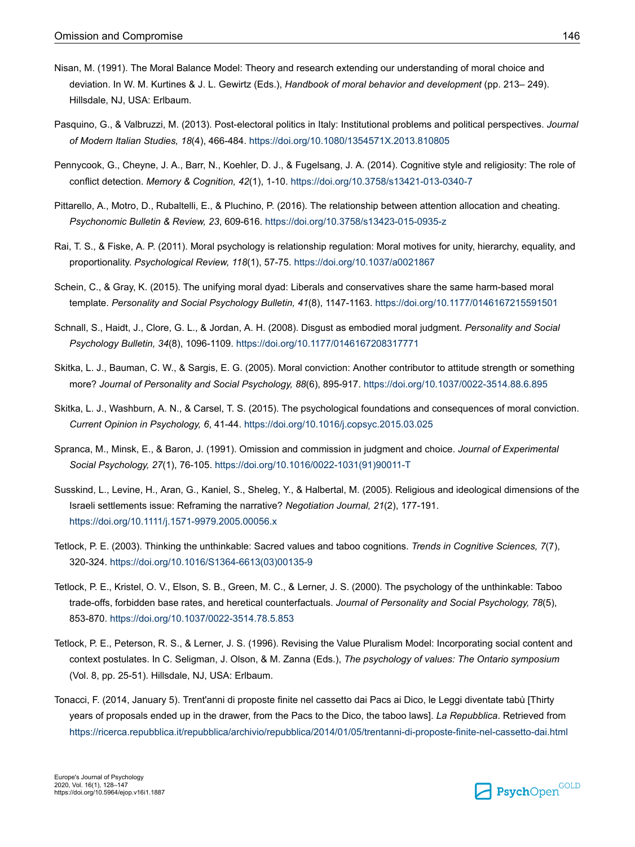- Nisan, M. (1991). The Moral Balance Model: Theory and research extending our understanding of moral choice and deviation. In W. M. Kurtines & J. L. Gewirtz (Eds.), *Handbook of moral behavior and development* (pp. 213– 249). Hillsdale, NJ, USA: Erlbaum.
- Pasquino, G., & Valbruzzi, M. (2013). Post-electoral politics in Italy: Institutional problems and political perspectives. *Journal of Modern Italian Studies, 18*(4), 466-484. [https://doi.org/10.1080/1354571X.2013.810805](https://doi.org/10.1080%2F1354571X.2013.810805)
- Pennycook, G., Cheyne, J. A., Barr, N., Koehler, D. J., & Fugelsang, J. A. (2014). Cognitive style and religiosity: The role of conflict detection. *Memory & Cognition, 42*(1), 1-10. [https://doi.org/10.3758/s13421-013-0340-7](https://doi.org/10.3758%2Fs13421-013-0340-7)
- Pittarello, A., Motro, D., Rubaltelli, E., & Pluchino, P. (2016). The relationship between attention allocation and cheating. *Psychonomic Bulletin & Review, 23*, 609-616. [https://doi.org/10.3758/s13423-015-0935-z](https://doi.org/10.3758%2Fs13423-015-0935-z)
- Rai, T. S., & Fiske, A. P. (2011). Moral psychology is relationship regulation: Moral motives for unity, hierarchy, equality, and proportionality. *Psychological Review, 118*(1), 57-75. [https://doi.org/10.1037/a0021867](https://doi.org/10.1037%2Fa0021867)
- Schein, C., & Gray, K. (2015). The unifying moral dyad: Liberals and conservatives share the same harm-based moral template. *Personality and Social Psychology Bulletin, 41*(8), 1147-1163. [https://doi.org/10.1177/0146167215591501](https://doi.org/10.1177%2F0146167215591501)
- Schnall, S., Haidt, J., Clore, G. L., & Jordan, A. H. (2008). Disgust as embodied moral judgment. *Personality and Social Psychology Bulletin, 34*(8), 1096-1109. [https://doi.org/10.1177/0146167208317771](https://doi.org/10.1177%2F0146167208317771)
- Skitka, L. J., Bauman, C. W., & Sargis, E. G. (2005). Moral conviction: Another contributor to attitude strength or something more? *Journal of Personality and Social Psychology, 88*(6), 895-917. [https://doi.org/10.1037/0022-3514.88.6.895](https://doi.org/10.1037%2F0022-3514.88.6.895)
- Skitka, L. J., Washburn, A. N., & Carsel, T. S. (2015). The psychological foundations and consequences of moral conviction. *Current Opinion in Psychology, 6*, 41-44. [https://doi.org/10.1016/j.copsyc.2015.03.025](https://doi.org/10.1016%2Fj.copsyc.2015.03.025)
- Spranca, M., Minsk, E., & Baron, J. (1991). Omission and commission in judgment and choice. *Journal of Experimental Social Psychology, 27*(1), 76-105. [https://doi.org/10.1016/0022-1031\(91\)90011-T](https://doi.org/10.1016%2F0022-1031%2891%2990011-T)
- Susskind, L., Levine, H., Aran, G., Kaniel, S., Sheleg, Y., & Halbertal, M. (2005). Religious and ideological dimensions of the Israeli settlements issue: Reframing the narrative? *Negotiation Journal, 21*(2), 177-191. [https://doi.org/10.1111/j.1571-9979.2005.00056.x](https://doi.org/10.1111%2Fj.1571-9979.2005.00056.x)
- Tetlock, P. E. (2003). Thinking the unthinkable: Sacred values and taboo cognitions. *Trends in Cognitive Sciences, 7*(7), 320-324. [https://doi.org/10.1016/S1364-6613\(03\)00135-9](https://doi.org/10.1016%2FS1364-6613%2803%2900135-9)
- Tetlock, P. E., Kristel, O. V., Elson, S. B., Green, M. C., & Lerner, J. S. (2000). The psychology of the unthinkable: Taboo trade-offs, forbidden base rates, and heretical counterfactuals. *Journal of Personality and Social Psychology, 78*(5), 853-870. [https://doi.org/10.1037/0022-3514.78.5.853](https://doi.org/10.1037%2F0022-3514.78.5.853)
- Tetlock, P. E., Peterson, R. S., & Lerner, J. S. (1996). Revising the Value Pluralism Model: Incorporating social content and context postulates. In C. Seligman, J. Olson, & M. Zanna (Eds.), *The psychology of values: The Ontario symposium* (Vol. 8, pp. 25-51). Hillsdale, NJ, USA: Erlbaum.
- Tonacci, F. (2014, January 5). Trent'anni di proposte finite nel cassetto dai Pacs ai Dico, le Leggi diventate tabù [Thirty years of proposals ended up in the drawer, from the Pacs to the Dico, the taboo laws]. *La Repubblica*. Retrieved from <https://ricerca.repubblica.it/repubblica/archivio/repubblica/2014/01/05/trentanni-di-proposte-finite-nel-cassetto-dai.html>